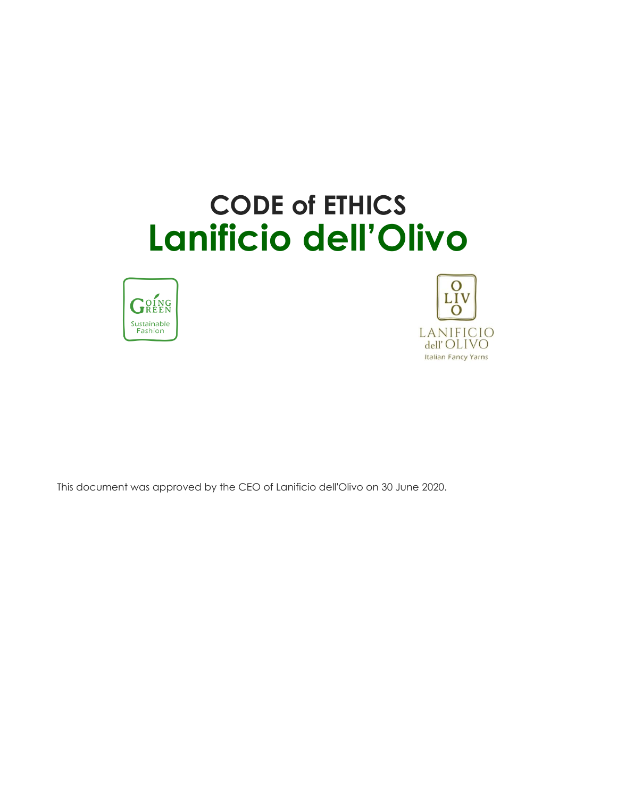# **CODE of ETHICS Lanificio dell'Olivo**





This document was approved by the CEO of Lanificio dell'Olivo on 30 June 2020.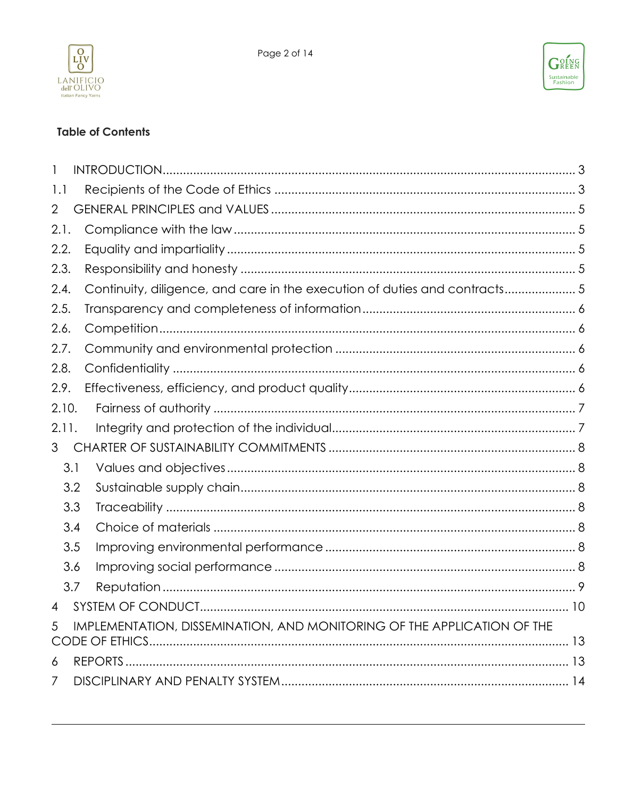



## **Table of Contents**

| 1              |     |                                                                            |  |
|----------------|-----|----------------------------------------------------------------------------|--|
| 1.1            |     |                                                                            |  |
| $\overline{2}$ |     |                                                                            |  |
| 2.1.           |     |                                                                            |  |
| 2.2.           |     |                                                                            |  |
| 2.3.           |     |                                                                            |  |
| 2.4.           |     | Continuity, diligence, and care in the execution of duties and contracts 5 |  |
| 2.5.           |     |                                                                            |  |
| 2.6.           |     |                                                                            |  |
| 2.7.           |     |                                                                            |  |
| 2.8.           |     |                                                                            |  |
| 2.9.           |     |                                                                            |  |
| 2.10.          |     |                                                                            |  |
| 2.11.          |     |                                                                            |  |
| 3              |     |                                                                            |  |
|                | 3.1 |                                                                            |  |
|                | 3.2 |                                                                            |  |
|                | 3.3 |                                                                            |  |
|                | 3.4 |                                                                            |  |
|                | 3.5 |                                                                            |  |
|                | 3.6 |                                                                            |  |
|                | 3.7 |                                                                            |  |
| 4              |     |                                                                            |  |
| 5              |     | IMPLEMENTATION, DISSEMINATION, AND MONITORING OF THE APPLICATION OF THE    |  |
| 6              |     |                                                                            |  |
| 7              |     |                                                                            |  |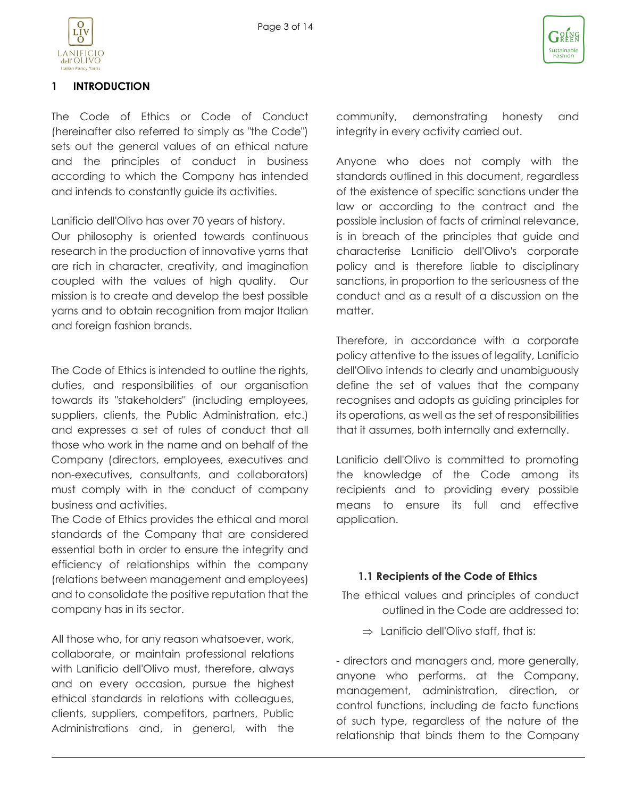

#### <span id="page-2-0"></span>**1 INTRODUCTION**

The Code of Ethics or Code of Conduct (hereinafter also referred to simply as "the Code") sets out the general values of an ethical nature and the principles of conduct in business according to which the Company has intended and intends to constantly guide its activities.

Lanificio dell'Olivo has over 70 years of history.

Our philosophy is oriented towards continuous research in the production of innovative yarns that are rich in character, creativity, and imagination coupled with the values of high quality. Our mission is to create and develop the best possible yarns and to obtain recognition from major Italian and foreign fashion brands.

The Code of Ethics is intended to outline the rights, duties, and responsibilities of our organisation towards its "stakeholders" (including employees, suppliers, clients, the Public Administration, etc.) and expresses a set of rules of conduct that all those who work in the name and on behalf of the Company (directors, employees, executives and non-executives, consultants, and collaborators) must comply with in the conduct of company business and activities.

The Code of Ethics provides the ethical and moral standards of the Company that are considered essential both in order to ensure the integrity and efficiency of relationships within the company (relations between management and employees) and to consolidate the positive reputation that the company has in its sector.

All those who, for any reason whatsoever, work, collaborate, or maintain professional relations with Lanificio dell'Olivo must, therefore, always and on every occasion, pursue the highest ethical standards in relations with colleagues, clients, suppliers, competitors, partners, Public Administrations and, in general, with the

community, demonstrating honesty and integrity in every activity carried out.

Anyone who does not comply with the standards outlined in this document, regardless of the existence of specific sanctions under the law or according to the contract and the possible inclusion of facts of criminal relevance, is in breach of the principles that guide and characterise Lanificio dell'Olivo's corporate policy and is therefore liable to disciplinary sanctions, in proportion to the seriousness of the conduct and as a result of a discussion on the matter.

Therefore, in accordance with a corporate policy attentive to the issues of legality, Lanificio dell'Olivo intends to clearly and unambiguously define the set of values that the company recognises and adopts as guiding principles for its operations, as well as the set of responsibilities that it assumes, both internally and externally.

Lanificio dell'Olivo is committed to promoting the knowledge of the Code among its recipients and to providing every possible means to ensure its full and effective application.

#### **1.1 Recipients of the Code of Ethics**

<span id="page-2-1"></span>The ethical values and principles of conduct outlined in the Code are addressed to:

 $\Rightarrow$  Lanificio dell'Olivo staff, that is:

- directors and managers and, more generally, anyone who performs, at the Company, management, administration, direction, or control functions, including de facto functions of such type, regardless of the nature of the relationship that binds them to the Company

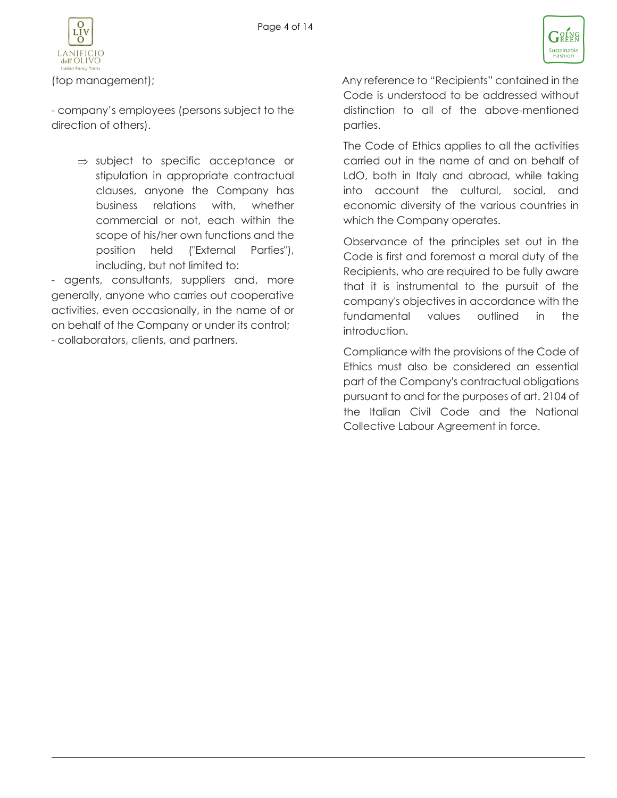

(top management);

- company's employees (persons subject to the direction of others).

> $\Rightarrow$  subject to specific acceptance or stipulation in appropriate contractual clauses, anyone the Company has business relations with, whether commercial or not, each within the scope of his/her own functions and the position held ("External Parties"), including, but not limited to:

- agents, consultants, suppliers and, more generally, anyone who carries out cooperative activities, even occasionally, in the name of or on behalf of the Company or under its control;

- collaborators, clients, and partners.

Any reference to "Recipients" contained in the Code is understood to be addressed without distinction to all of the above-mentioned parties.

The Code of Ethics applies to all the activities carried out in the name of and on behalf of LdO, both in Italy and abroad, while taking into account the cultural, social, and economic diversity of the various countries in which the Company operates.

Observance of the principles set out in the Code is first and foremost a moral duty of the Recipients, who are required to be fully aware that it is instrumental to the pursuit of the company's objectives in accordance with the fundamental values outlined in the introduction.

Compliance with the provisions of the Code of Ethics must also be considered an essential part of the Company's contractual obligations pursuant to and for the purposes of art. 2104 of the Italian Civil Code and the National Collective Labour Agreement in force.

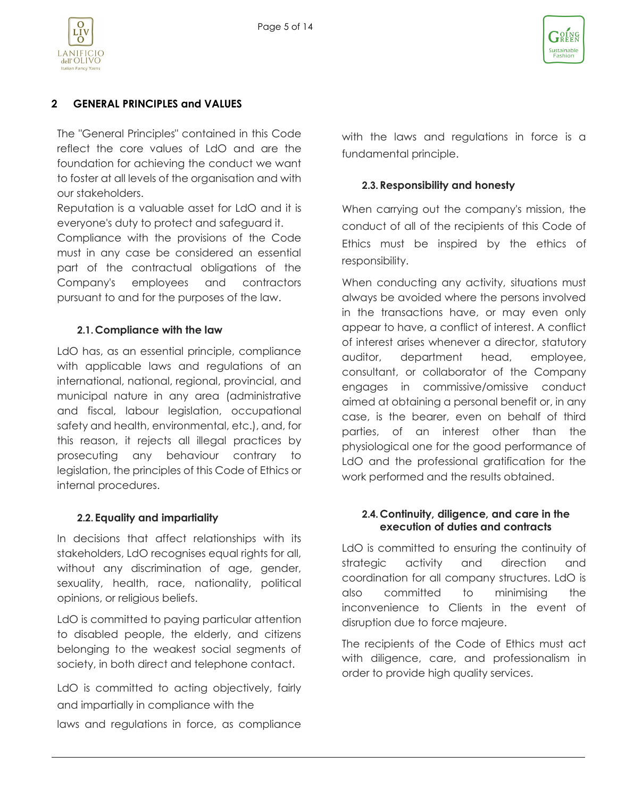



## <span id="page-4-0"></span>**2 GENERAL PRINCIPLES and VALUES**

The "General Principles" contained in this Code reflect the core values of LdO and are the foundation for achieving the conduct we want to foster at all levels of the organisation and with our stakeholders.

Reputation is a valuable asset for LdO and it is everyone's duty to protect and safeguard it.

Compliance with the provisions of the Code must in any case be considered an essential part of the contractual obligations of the Company's employees and contractors pursuant to and for the purposes of the law.

## **2.1.Compliance with the law**

<span id="page-4-1"></span>LdO has, as an essential principle, compliance with applicable laws and regulations of an international, national, regional, provincial, and municipal nature in any area (administrative and fiscal, labour legislation, occupational safety and health, environmental, etc.), and, for this reason, it rejects all illegal practices by prosecuting any behaviour contrary to legislation, the principles of this Code of Ethics or internal procedures.

#### **2.2. Equality and impartiality**

<span id="page-4-2"></span>In decisions that affect relationships with its stakeholders, LdO recognises equal rights for all, without any discrimination of age, gender, sexuality, health, race, nationality, political opinions, or religious beliefs.

LdO is committed to paying particular attention to disabled people, the elderly, and citizens belonging to the weakest social segments of society, in both direct and telephone contact.

LdO is committed to acting objectively, fairly and impartially in compliance with the laws and regulations in force, as compliance

with the laws and regulations in force is a fundamental principle.

## **2.3. Responsibility and honesty**

<span id="page-4-3"></span>When carrying out the company's mission, the conduct of all of the recipients of this Code of Ethics must be inspired by the ethics of responsibility.

When conducting any activity, situations must always be avoided where the persons involved in the transactions have, or may even only appear to have, a conflict of interest. A conflict of interest arises whenever a director, statutory auditor, department head, employee, consultant, or collaborator of the Company engages in commissive/omissive conduct aimed at obtaining a personal benefit or, in any case, is the bearer, even on behalf of third parties, of an interest other than the physiological one for the good performance of LdO and the professional gratification for the work performed and the results obtained.

#### <span id="page-4-4"></span>**2.4.Continuity, diligence, and care in the execution of duties and contracts**

LdO is committed to ensuring the continuity of strategic activity and direction and coordination for all company structures. LdO is also committed to minimising the inconvenience to Clients in the event of disruption due to force majeure.

The recipients of the Code of Ethics must act with diligence, care, and professionalism in order to provide high quality services.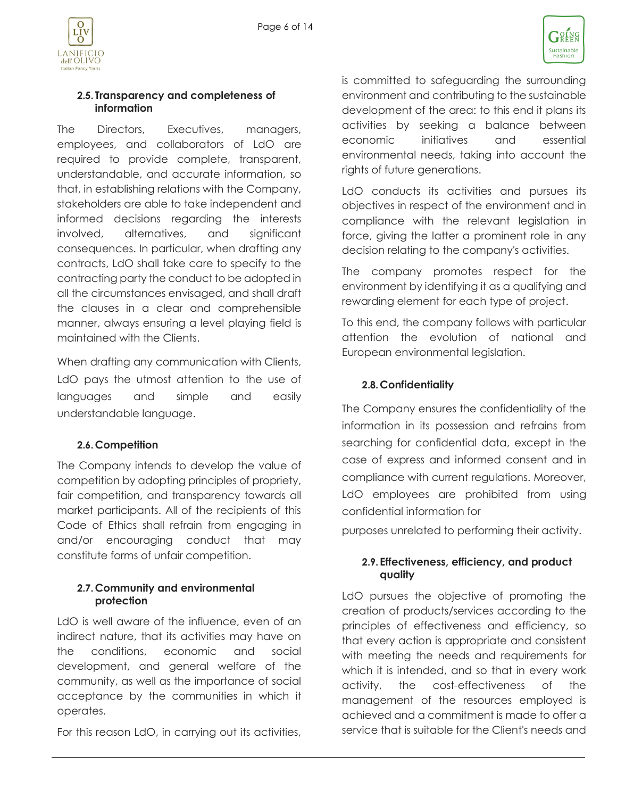

#### <span id="page-5-0"></span>**2.5. Transparency and completeness of information**

The Directors, Executives, managers, employees, and collaborators of LdO are required to provide complete, transparent, understandable, and accurate information, so that, in establishing relations with the Company, stakeholders are able to take independent and informed decisions regarding the interests involved, alternatives, and significant consequences. In particular, when drafting any contracts, LdO shall take care to specify to the contracting party the conduct to be adopted in all the circumstances envisaged, and shall draft the clauses in a clear and comprehensible manner, always ensuring a level playing field is maintained with the Clients.

When drafting any communication with Clients, LdO pays the utmost attention to the use of languages and simple and easily understandable language.

## **2.6.Competition**

<span id="page-5-1"></span>The Company intends to develop the value of competition by adopting principles of propriety, fair competition, and transparency towards all market participants. All of the recipients of this Code of Ethics shall refrain from engaging in and/or encouraging conduct that may constitute forms of unfair competition.

## <span id="page-5-2"></span>**2.7.Community and environmental protection**

LdO is well aware of the influence, even of an indirect nature, that its activities may have on the conditions, economic and social development, and general welfare of the community, as well as the importance of social acceptance by the communities in which it operates.

For this reason LdO, in carrying out its activities,

is committed to safeguarding the surrounding environment and contributing to the sustainable development of the area: to this end it plans its activities by seeking a balance between economic initiatives and essential environmental needs, taking into account the rights of future generations.

LdO conducts its activities and pursues its objectives in respect of the environment and in compliance with the relevant legislation in force, giving the latter a prominent role in any decision relating to the company's activities.

The company promotes respect for the environment by identifying it as a qualifying and rewarding element for each type of project.

To this end, the company follows with particular attention the evolution of national and European environmental legislation.

## **2.8.Confidentiality**

<span id="page-5-3"></span>The Company ensures the confidentiality of the information in its possession and refrains from searching for confidential data, except in the case of express and informed consent and in compliance with current regulations. Moreover, LdO employees are prohibited from using confidential information for

purposes unrelated to performing their activity.

#### <span id="page-5-4"></span>**2.9. Effectiveness, efficiency, and product quality**

LdO pursues the objective of promoting the creation of products/services according to the principles of effectiveness and efficiency, so that every action is appropriate and consistent with meeting the needs and requirements for which it is intended, and so that in every work activity, the cost-effectiveness of the management of the resources employed is achieved and a commitment is made to offer a service that is suitable for the Client's needs and

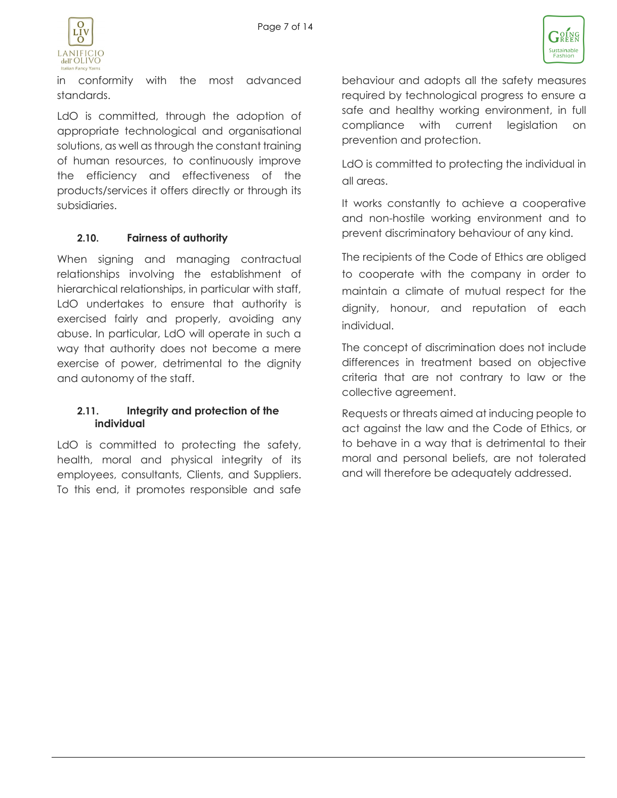

in conformity with the most advanced standards.

LdO is committed, through the adoption of appropriate technological and organisational solutions, as well as through the constant training of human resources, to continuously improve the efficiency and effectiveness of the products/services it offers directly or through its subsidiaries.

## <span id="page-6-0"></span>**2.10. Fairness of authority**

When signing and managing contractual relationships involving the establishment of hierarchical relationships, in particular with staff, LdO undertakes to ensure that authority is exercised fairly and properly, avoiding any abuse. In particular, LdO will operate in such a way that authority does not become a mere exercise of power, detrimental to the dignity and autonomy of the staff.

#### <span id="page-6-1"></span>**2.11. Integrity and protection of the individual**

LdO is committed to protecting the safety, health, moral and physical integrity of its employees, consultants, Clients, and Suppliers. To this end, it promotes responsible and safe

behaviour and adopts all the safety measures required by technological progress to ensure a safe and healthy working environment, in full compliance with current legislation on prevention and protection.

LdO is committed to protecting the individual in all areas.

It works constantly to achieve a cooperative and non-hostile working environment and to prevent discriminatory behaviour of any kind.

The recipients of the Code of Ethics are obliged to cooperate with the company in order to maintain a climate of mutual respect for the dignity, honour, and reputation of each individual.

The concept of discrimination does not include differences in treatment based on objective criteria that are not contrary to law or the collective agreement.

Requests or threats aimed at inducing people to act against the law and the Code of Ethics, or to behave in a way that is detrimental to their moral and personal beliefs, are not tolerated and will therefore be adequately addressed.

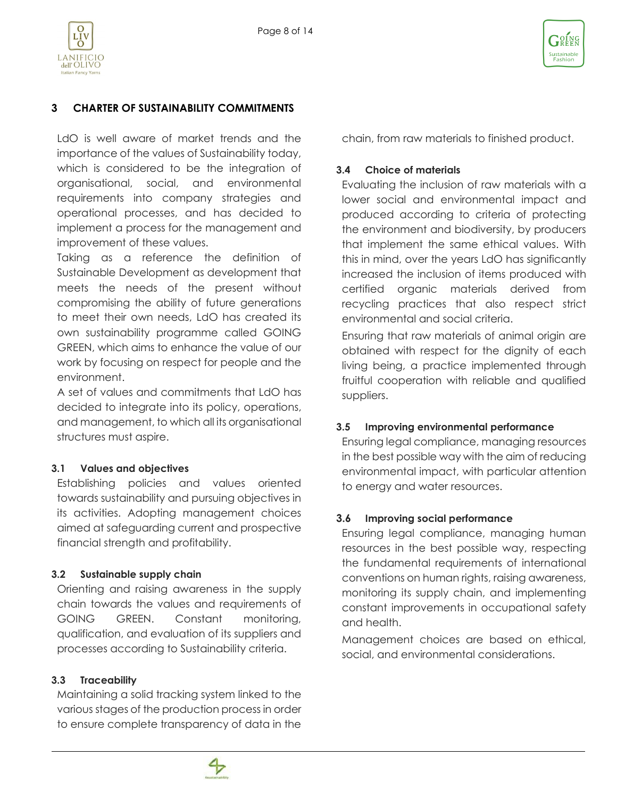



## <span id="page-7-0"></span>**3 CHARTER OF SUSTAINABILITY COMMITMENTS**

LdO is well aware of market trends and the importance of the values of Sustainability today, which is considered to be the integration of organisational, social, and environmental requirements into company strategies and operational processes, and has decided to implement a process for the management and improvement of these values.

Taking as a reference the definition of Sustainable Development as development that meets the needs of the present without compromising the ability of future generations to meet their own needs, LdO has created its own sustainability programme called GOING GREEN, which aims to enhance the value of our work by focusing on respect for people and the environment.

A set of values and commitments that LdO has decided to integrate into its policy, operations, and management, to which all its organisational structures must aspire.

#### <span id="page-7-1"></span>**3.1 Values and objectives**

Establishing policies and values oriented towards sustainability and pursuing objectives in its activities. Adopting management choices aimed at safeguarding current and prospective financial strength and profitability.

#### <span id="page-7-2"></span>**3.2 Sustainable supply chain**

Orienting and raising awareness in the supply chain towards the values and requirements of GOING GREEN. Constant monitoring, qualification, and evaluation of its suppliers and processes according to Sustainability criteria.

#### <span id="page-7-3"></span>**3.3 Traceability**

Maintaining a solid tracking system linked to the various stages of the production process in order to ensure complete transparency of data in the chain, from raw materials to finished product.

#### <span id="page-7-4"></span>**3.4 Choice of materials**

Evaluating the inclusion of raw materials with a lower social and environmental impact and produced according to criteria of protecting the environment and biodiversity, by producers that implement the same ethical values. With this in mind, over the years LdO has significantly increased the inclusion of items produced with certified organic materials derived from recycling practices that also respect strict environmental and social criteria.

Ensuring that raw materials of animal origin are obtained with respect for the dignity of each living being, a practice implemented through fruitful cooperation with reliable and qualified suppliers.

#### <span id="page-7-5"></span>**3.5 Improving environmental performance**

Ensuring legal compliance, managing resources in the best possible way with the aim of reducing environmental impact, with particular attention to energy and water resources.

#### <span id="page-7-6"></span>**3.6 Improving social performance**

Ensuring legal compliance, managing human resources in the best possible way, respecting the fundamental requirements of international conventions on human rights, raising awareness, monitoring its supply chain, and implementing constant improvements in occupational safety and health.

Management choices are based on ethical, social, and environmental considerations.

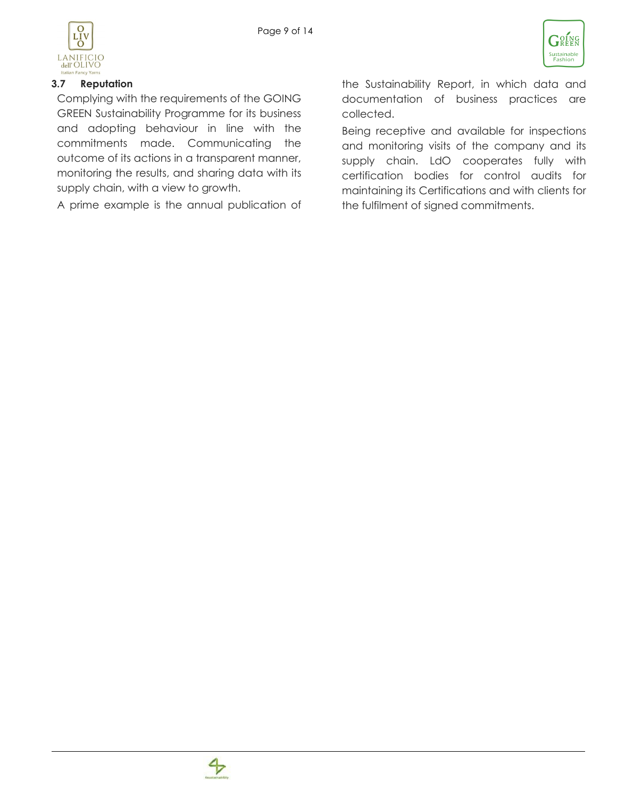

#### <span id="page-8-0"></span>**3.7 Reputation**

Complying with the requirements of the GOING GREEN Sustainability Programme for its business and adopting behaviour in line with the commitments made. Communicating the outcome of its actions in a transparent manner, monitoring the results, and sharing data with its supply chain, with a view to growth.

A prime example is the annual publication of

the Sustainability Report, in which data and documentation of business practices are collected.

Being receptive and available for inspections and monitoring visits of the company and its supply chain. LdO cooperates fully with certification bodies for control audits for maintaining its Certifications and with clients for the fulfilment of signed commitments.

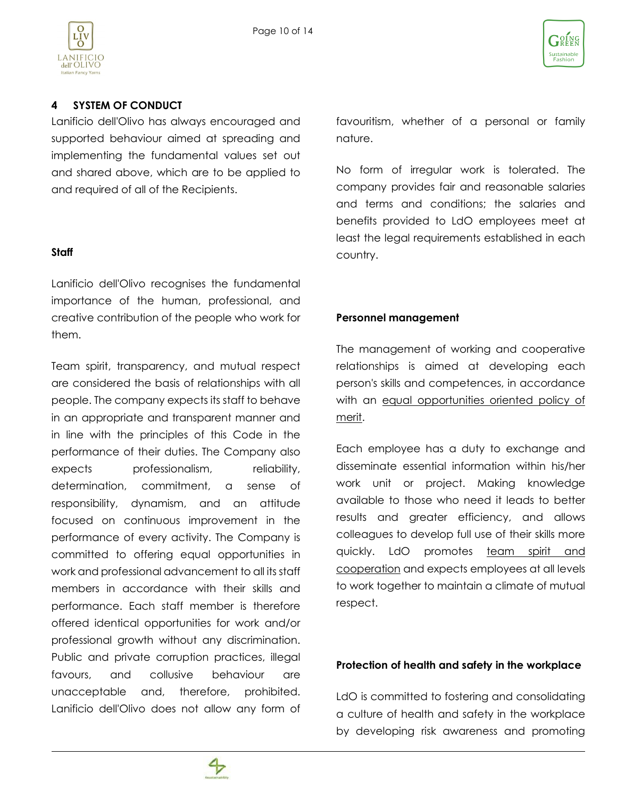



## <span id="page-9-0"></span>**4 SYSTEM OF CONDUCT**

Lanificio dell'Olivo has always encouraged and supported behaviour aimed at spreading and implementing the fundamental values set out and shared above, which are to be applied to and required of all of the Recipients.

#### **Staff**

Lanificio dell'Olivo recognises the fundamental importance of the human, professional, and creative contribution of the people who work for them.

Team spirit, transparency, and mutual respect are considered the basis of relationships with all people. The company expects its staff to behave in an appropriate and transparent manner and in line with the principles of this Code in the performance of their duties. The Company also expects professionalism, reliability, determination, commitment, a sense of responsibility, dynamism, and an attitude focused on continuous improvement in the performance of every activity. The Company is committed to offering equal opportunities in work and professional advancement to all its staff members in accordance with their skills and performance. Each staff member is therefore offered identical opportunities for work and/or professional growth without any discrimination. Public and private corruption practices, illegal favours, and collusive behaviour are unacceptable and, therefore, prohibited. Lanificio dell'Olivo does not allow any form of favouritism, whether of a personal or family nature.

No form of irregular work is tolerated. The company provides fair and reasonable salaries and terms and conditions; the salaries and benefits provided to LdO employees meet at least the legal requirements established in each country.

#### **Personnel management**

The management of working and cooperative relationships is aimed at developing each person's skills and competences, in accordance with an equal opportunities oriented policy of merit.

Each employee has a duty to exchange and disseminate essential information within his/her work unit or project. Making knowledge available to those who need it leads to better results and greater efficiency, and allows colleagues to develop full use of their skills more quickly. LdO promotes team spirit and cooperation and expects employees at all levels to work together to maintain a climate of mutual respect.

#### **Protection of health and safety in the workplace**

LdO is committed to fostering and consolidating a culture of health and safety in the workplace by developing risk awareness and promoting

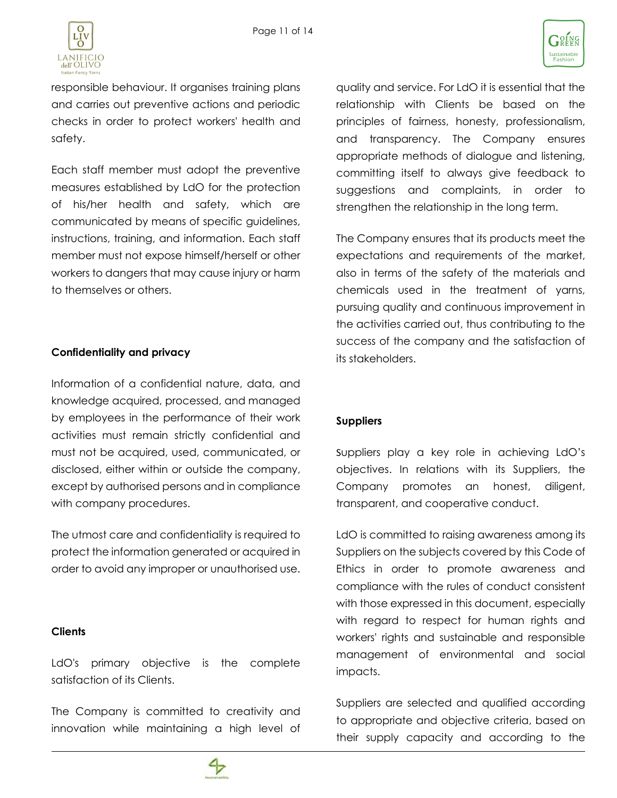



responsible behaviour. It organises training plans and carries out preventive actions and periodic checks in order to protect workers' health and safety.

Each staff member must adopt the preventive measures established by LdO for the protection of his/her health and safety, which are communicated by means of specific guidelines, instructions, training, and information. Each staff member must not expose himself/herself or other workers to dangers that may cause injury or harm to themselves or others.

## **Confidentiality and privacy**

Information of a confidential nature, data, and knowledge acquired, processed, and managed by employees in the performance of their work activities must remain strictly confidential and must not be acquired, used, communicated, or disclosed, either within or outside the company, except by authorised persons and in compliance with company procedures.

The utmost care and confidentiality is required to protect the information generated or acquired in order to avoid any improper or unauthorised use.

#### **Clients**

LdO's primary objective is the complete satisfaction of its Clients.

The Company is committed to creativity and innovation while maintaining a high level of quality and service. For LdO it is essential that the relationship with Clients be based on the principles of fairness, honesty, professionalism, and transparency. The Company ensures appropriate methods of dialogue and listening, committing itself to always give feedback to suggestions and complaints, in order to strengthen the relationship in the long term.

The Company ensures that its products meet the expectations and requirements of the market, also in terms of the safety of the materials and chemicals used in the treatment of yarns, pursuing quality and continuous improvement in the activities carried out, thus contributing to the success of the company and the satisfaction of its stakeholders.

#### **Suppliers**

Suppliers play a key role in achieving LdO's objectives. In relations with its Suppliers, the Company promotes an honest, diligent, transparent, and cooperative conduct.

LdO is committed to raising awareness among its Suppliers on the subjects covered by this Code of Ethics in order to promote awareness and compliance with the rules of conduct consistent with those expressed in this document, especially with regard to respect for human rights and workers' rights and sustainable and responsible management of environmental and social impacts.

Suppliers are selected and qualified according to appropriate and objective criteria, based on their supply capacity and according to the

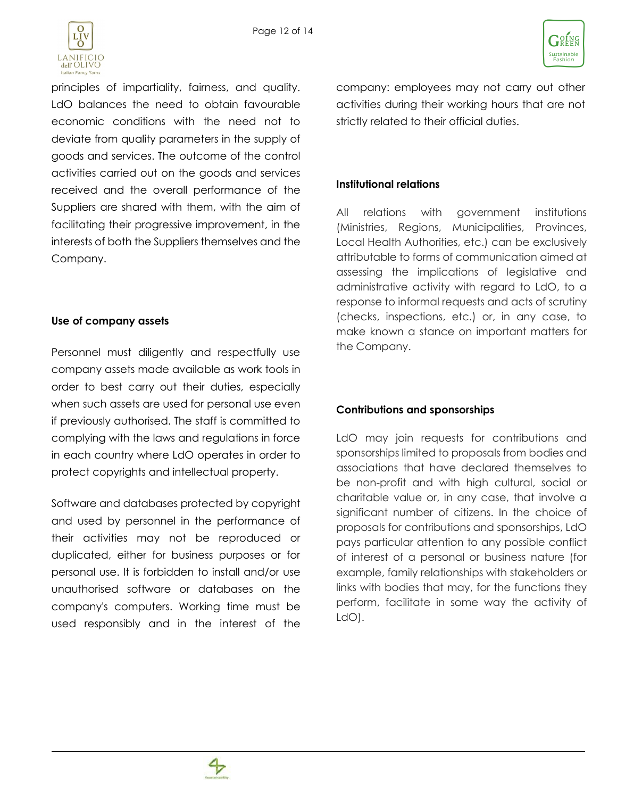

principles of impartiality, fairness, and quality. LdO balances the need to obtain favourable economic conditions with the need not to deviate from quality parameters in the supply of goods and services. The outcome of the control activities carried out on the goods and services received and the overall performance of the Suppliers are shared with them, with the aim of facilitating their progressive improvement, in the interests of both the Suppliers themselves and the Company.

## **Use of company assets**

Personnel must diligently and respectfully use company assets made available as work tools in order to best carry out their duties, especially when such assets are used for personal use even if previously authorised. The staff is committed to complying with the laws and regulations in force in each country where LdO operates in order to protect copyrights and intellectual property.

Software and databases protected by copyright and used by personnel in the performance of their activities may not be reproduced or duplicated, either for business purposes or for personal use. It is forbidden to install and/or use unauthorised software or databases on the company's computers. Working time must be used responsibly and in the interest of the company: employees may not carry out other activities during their working hours that are not strictly related to their official duties.

## **Institutional relations**

All relations with government institutions (Ministries, Regions, Municipalities, Provinces, Local Health Authorities, etc.) can be exclusively attributable to forms of communication aimed at assessing the implications of legislative and administrative activity with regard to LdO, to a response to informal requests and acts of scrutiny (checks, inspections, etc.) or, in any case, to make known a stance on important matters for the Company.

## **Contributions and sponsorships**

LdO may join requests for contributions and sponsorships limited to proposals from bodies and associations that have declared themselves to be non-profit and with high cultural, social or charitable value or, in any case, that involve a significant number of citizens. In the choice of proposals for contributions and sponsorships, LdO pays particular attention to any possible conflict of interest of a personal or business nature (for example, family relationships with stakeholders or links with bodies that may, for the functions they perform, facilitate in some way the activity of LdO).

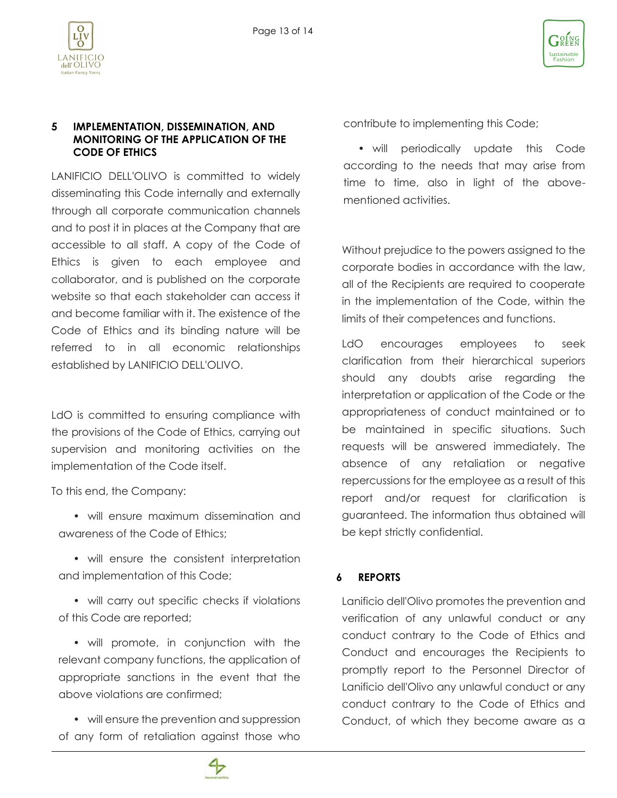

#### <span id="page-12-0"></span>**5 IMPLEMENTATION, DISSEMINATION, AND MONITORING OF THE APPLICATION OF THE CODE OF ETHICS**

LANIFICIO DELL'OLIVO is committed to widely disseminating this Code internally and externally through all corporate communication channels and to post it in places at the Company that are accessible to all staff. A copy of the Code of Ethics is given to each employee and collaborator, and is published on the corporate website so that each stakeholder can access it and become familiar with it. The existence of the Code of Ethics and its binding nature will be referred to in all economic relationships established by LANIFICIO DELL'OLIVO.

LdO is committed to ensuring compliance with the provisions of the Code of Ethics, carrying out supervision and monitoring activities on the implementation of the Code itself.

To this end, the Company:

• will ensure maximum dissemination and awareness of the Code of Ethics;

• will ensure the consistent interpretation and implementation of this Code;

• will carry out specific checks if violations of this Code are reported;

• will promote, in conjunction with the relevant company functions, the application of appropriate sanctions in the event that the above violations are confirmed;

• will ensure the prevention and suppression of any form of retaliation against those who



• will periodically update this Code according to the needs that may arise from time to time, also in light of the abovementioned activities.

GREEN **Fashion** 

Without prejudice to the powers assigned to the corporate bodies in accordance with the law, all of the Recipients are required to cooperate in the implementation of the Code, within the limits of their competences and functions.

LdO encourages employees to seek clarification from their hierarchical superiors should any doubts arise regarding the interpretation or application of the Code or the appropriateness of conduct maintained or to be maintained in specific situations. Such requests will be answered immediately. The absence of any retaliation or negative repercussions for the employee as a result of this report and/or request for clarification is guaranteed. The information thus obtained will be kept strictly confidential.

## <span id="page-12-1"></span>**6 REPORTS**

Lanificio dell'Olivo promotes the prevention and verification of any unlawful conduct or any conduct contrary to the Code of Ethics and Conduct and encourages the Recipients to promptly report to the Personnel Director of Lanificio dell'Olivo any unlawful conduct or any conduct contrary to the Code of Ethics and Conduct, of which they become aware as a